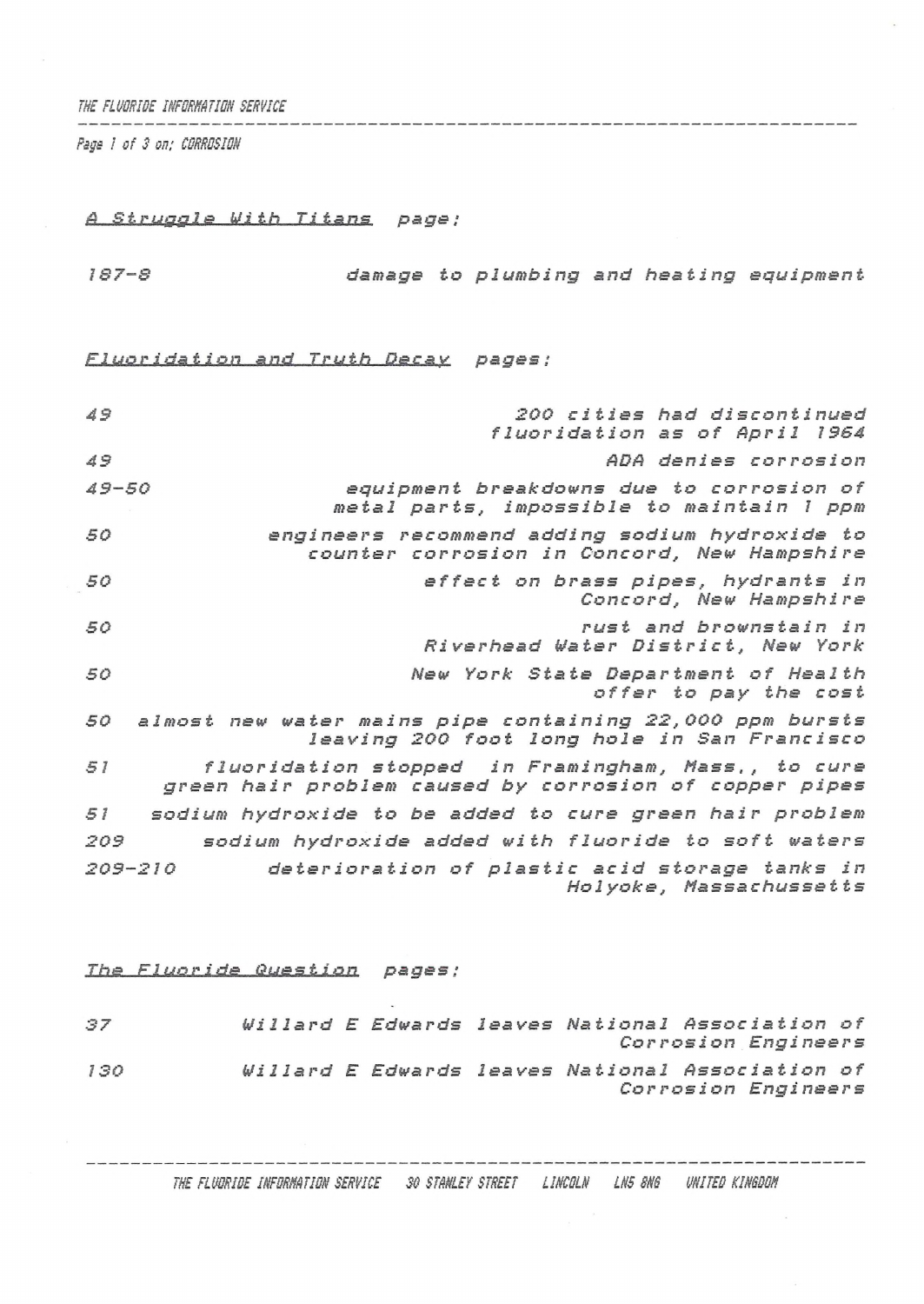*THE FLUORIDE INFORMATION SERVICE*

*Psgs I of 3 on: CORROSION*

## *<sup>A</sup> 8truffgls With Titans page ;*

*<sup>18</sup> 7-8 damage to plumbing and heating equipment*

 $Fluoridation and Truth Decay pages$  ;

| 49          | 200 cities had discontinued<br>fluoridation as of April 1964                                                 |
|-------------|--------------------------------------------------------------------------------------------------------------|
| 49          | ADA denies corrosion                                                                                         |
| $49 - 50$   | equipment breakdowns due to corrosion of<br>metal parts, impossible to maintain I ppm                        |
| 50          | engineers recommend adding sodium hydroxide to<br>counter corrosion in Concord, New Hampshire                |
| 50          | effect on brass pipes, hydrants in<br>Concord, New Hampshire                                                 |
| 50          | rust and brownstain in<br>Riverhead Water District, New York                                                 |
| 50          | New York State Department of Health<br>offer to pay the cost                                                 |
| 50          | almost new water mains pipe containing 22,000 ppm bursts<br>leaving 200 foot long hole in San Francisco      |
| 51          | fluoridation stopped in Framingham, Mass., to cure<br>green hair problem caused by corrosion of copper pipes |
| 51          | sodium hydroxide to be added to cure green hair problem                                                      |
| 209         | sodium hydroxide added with fluoride to soft waters                                                          |
| $209 - 210$ | deterioration of plastic acid storage tanks in<br>Holyoke, Massachussetts                                    |

## *Lbs. nLuor i* dg *Quss.ti o.n. pages ;*

| 37  |  |  | Willard E Edwards leaves National Association of |                     |  |
|-----|--|--|--------------------------------------------------|---------------------|--|
|     |  |  |                                                  | Corrosion Engineers |  |
| 130 |  |  | Willard E Edwards leaves National Association of |                     |  |
|     |  |  |                                                  | Corrosion Engineers |  |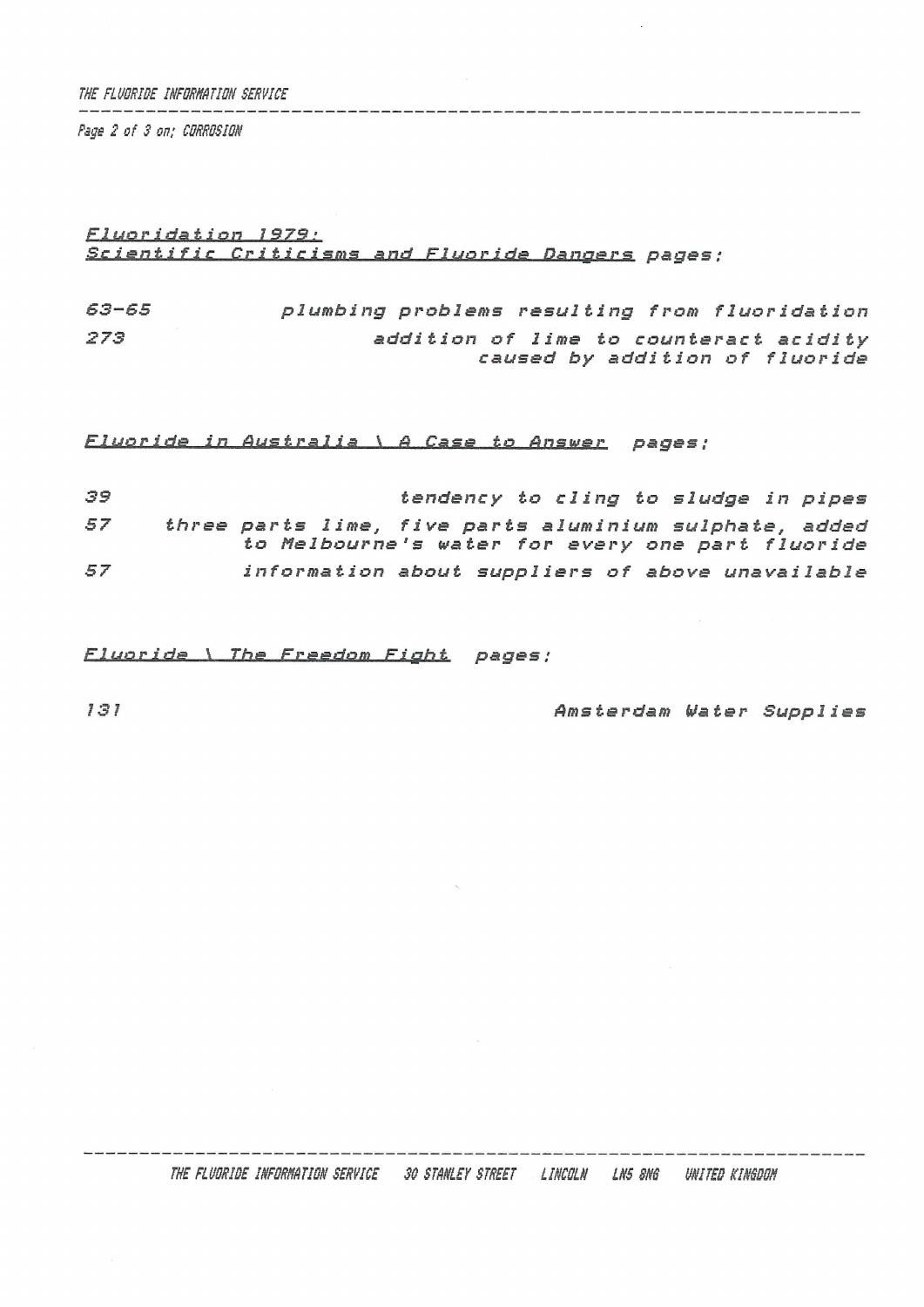*THE FLUORIBE INFQRHATION SERVICE*

*Psge 2 of 3 on; CRRRCSIOH*

## *r i á&.ž Ian, <sup>I</sup>S/<sup>g</sup> ; Scientific Criticisms and Fluor ids Dangers pages ;*

*63-65 273 plumbing problems resulting from fluoridation addition of lime to counteract acidity caused by addition of fluoride*

*Fluoride in Australia \ <sup>A</sup> Case to Pnsvsr pages ;*

 *tendency to cling to sludge in pipes three parts lime, five parts aluminium sulphate, added to Melbourne's water for every one part fluoride information about suppliers of above unavailable*

*Fluoride \ The Freedom Fight pages;*

*131 Amsterdam Water Supplies*